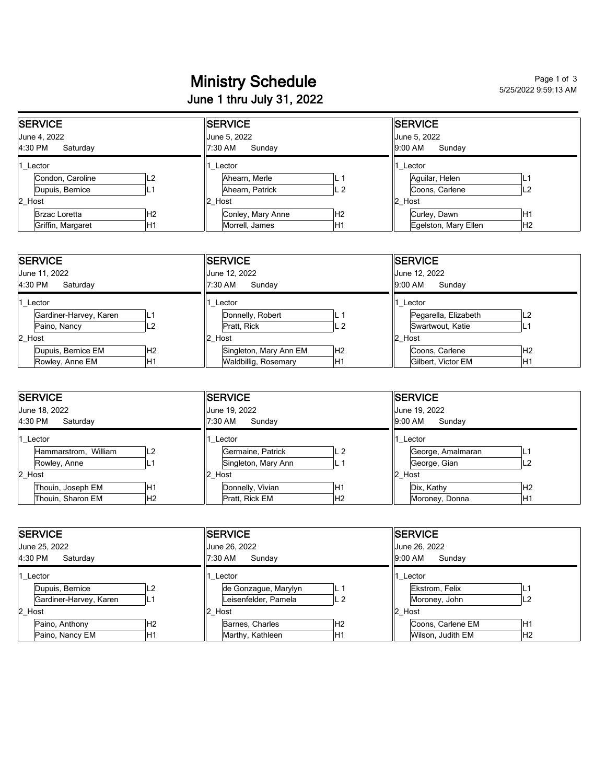## Ministry Schedule Page 1 of 3 and Page 1 of 3 June 1 thru July 31, 2022

5/25/2022 9:59:13 AM

| <b>SERVICE</b>                      |                      |                | <b>SERVICE</b>                    |                   |                | <b>SERVICE</b>                    |                      |     |
|-------------------------------------|----------------------|----------------|-----------------------------------|-------------------|----------------|-----------------------------------|----------------------|-----|
| June 4, 2022<br>4:30 PM<br>Saturday |                      |                | June 5, 2022<br>7:30 AM<br>Sunday |                   |                | June 5, 2022<br>9:00 AM<br>Sunday |                      |     |
| 1 Lector                            |                      |                | Lector                            |                   |                | Lector                            |                      |     |
|                                     | Condon, Caroline     |                |                                   | Ahearn, Merle     | ┕              |                                   | Aquilar, Helen       |     |
|                                     | Dupuis, Bernice      |                |                                   | Ahearn, Patrick   | L 2            |                                   | Coons, Carlene       | L2  |
| 2 Host                              |                      |                | 2 Host                            |                   |                | Host                              |                      |     |
|                                     | <b>Brzac Loretta</b> | H <sub>2</sub> |                                   | Conley, Mary Anne | H <sub>2</sub> |                                   | Curley, Dawn         | ΙH1 |
|                                     | Griffin, Margaret    | IH1            |                                   | Morrell, James    | H1             |                                   | Egelston, Mary Ellen | lН2 |

| <b>SERVICE</b>                       | <b>ISERVICE</b>                          | <b>SERVICE</b>                         |  |  |
|--------------------------------------|------------------------------------------|----------------------------------------|--|--|
| June 11, 2022                        | June 12, 2022                            | June 12, 2022                          |  |  |
| 4:30 PM<br>Saturdav                  | 7:30 AM<br>Sundav                        | 9:00 AM<br>Sundav                      |  |  |
| 1 Lector                             | Lector                                   | Lector                                 |  |  |
| Gardiner-Harvey, Karen               | Donnelly, Robert                         | Pegarella, Elizabeth<br>L <sub>2</sub> |  |  |
| Paino, Nancy<br>-2                   | Pratt, Rick<br>L 2                       | Swartwout, Katie<br><u>ь</u>           |  |  |
| 2 Host                               | 2 Host                                   | 2 Host                                 |  |  |
| Dupuis, Bernice EM<br>H <sub>2</sub> | Singleton, Mary Ann EM<br>H <sub>2</sub> | IH <sub>2</sub><br>Coons, Carlene      |  |  |
| Rowley, Anne EM<br>H1                | Waldbillig, Rosemary<br>'H1              | IH1<br>Gilbert, Victor EM              |  |  |

| <b>SERVICE</b>       |                 |        | SERVICE             |                |        | <b>SERVICE</b>    |                |  |  |
|----------------------|-----------------|--------|---------------------|----------------|--------|-------------------|----------------|--|--|
| June 18, 2022        |                 |        | June 19, 2022       |                |        | June 19, 2022     |                |  |  |
| 4:30 PM<br>Saturday  |                 |        | 7:30 AM<br>Sunday   |                |        | 9:00 AM<br>Sunday |                |  |  |
| Lector               |                 |        | Lector              |                |        | Lector            |                |  |  |
| Hammarstrom, William | IL2             |        | Germaine, Patrick   | L <sub>2</sub> |        | George, Amalmaran | –              |  |  |
| Rowley, Anne         |                 |        | Singleton, Mary Ann | ı L 1          |        | George, Gian      | L2             |  |  |
| 2 Host               |                 | 2 Host |                     |                | 2 Host |                   |                |  |  |
| Thouin, Joseph EM    | IH1             |        | Donnelly, Vivian    | H1             |        | Dix, Kathy        | H <sub>2</sub> |  |  |
| Thouin, Sharon EM    | IH <sub>2</sub> |        | Pratt, Rick EM      | H <sub>2</sub> |        | Moroney, Donna    | İΗ1            |  |  |

| <b>SERVICE</b>               | <b>SERVICE</b>                         | <b>ISERVICE</b>                     |  |  |
|------------------------------|----------------------------------------|-------------------------------------|--|--|
| June 25, 2022                | June 26, 2022                          | June 26, 2022                       |  |  |
| 4:30 PM<br>Saturdav          | 7:30 AM<br>Sundav                      | 9:00 AM<br>Sundav                   |  |  |
| 1 Lector                     | 1 Lector                               | Lector                              |  |  |
| Dupuis, Bernice<br>L2        | de Gonzague, Marylyn<br>L.             | Ekstrom, Felix                      |  |  |
| Gardiner-Harvey, Karen<br>L٦ | Leisenfelder, Pamela<br>L <sub>2</sub> | Moroney, John<br>L2                 |  |  |
| 2 Host                       | Host<br>12.                            | $\ 2$ Host                          |  |  |
| Paino, Anthony<br>IH2        | H <sub>2</sub><br>Barnes, Charles      | IH1<br>Coons, Carlene EM            |  |  |
| H1<br>Paino, Nancy EM        | H1<br>Marthy, Kathleen                 | H <sub>2</sub><br>Wilson, Judith EM |  |  |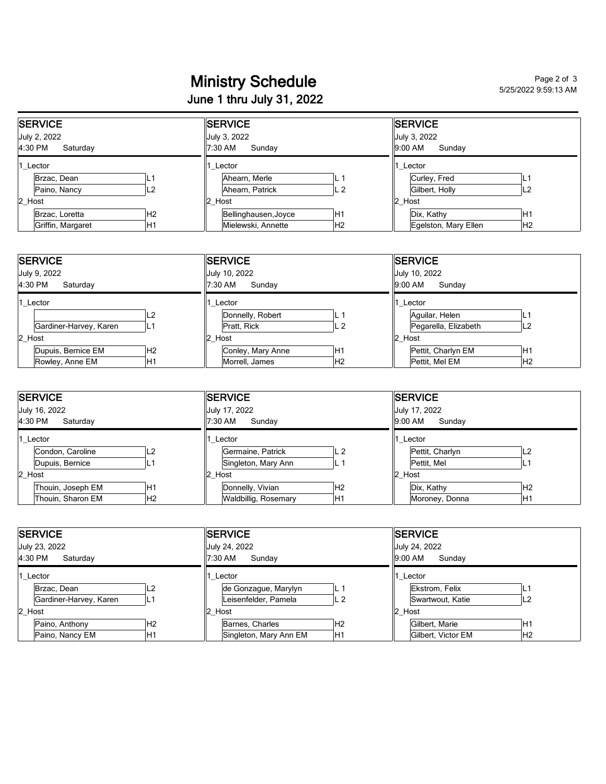## Ministry Schedule<br>
Ministry Schedule June 1 thru July 31, 2022

5/25/2022 9:59:13 AM

| <b>SERVICE</b>      |     |  | <b>SERVICE</b>       |                |              | <b>SERVICE</b>       |                |  |  |
|---------------------|-----|--|----------------------|----------------|--------------|----------------------|----------------|--|--|
| July 2, 2022        |     |  | July 3, 2022         |                | July 3, 2022 |                      |                |  |  |
| 4:30 PM<br>Saturdav |     |  | 7:30 AM<br>Sunday    |                |              | 9:00 AM<br>Sundav    |                |  |  |
| 1 Lector            |     |  | Lector               |                |              | Lector               |                |  |  |
| Brzac, Dean         |     |  | Ahearn, Merle        |                |              | Curley, Fred         | ∟              |  |  |
| Paino, Nancy        | L2  |  | Ahearn, Patrick      | L <sub>2</sub> |              | Gilbert, Holly       | L2             |  |  |
| 2 Host              |     |  | $2$ Host             |                |              | 12<br>Host           |                |  |  |
| Brzac, Loretta      | IH2 |  | Bellinghausen, Joyce | H <sub>1</sub> |              | Dix, Kathy           | H1             |  |  |
| Griffin, Margaret   | H1  |  | Mielewski, Annette   | H <sub>2</sub> |              | Egelston, Mary Ellen | H <sub>2</sub> |  |  |

| <b>SERVICE</b>                     | <b>ISERVICE</b>                      | <b>ISERVICE</b>            |  |  |
|------------------------------------|--------------------------------------|----------------------------|--|--|
| July 9, 2022                       | July 10, 2022                        | July 10, 2022              |  |  |
| 4:30 PM<br>Saturday                | 7:30 AM<br>Sunday                    | 9:00 AM<br>Sunday          |  |  |
| Lector                             | Lector                               | Lector                     |  |  |
| L2                                 | Donnelly, Robert<br>ч.               | Aquilar, Helen             |  |  |
| Gardiner-Harvey, Karen<br>IL1      | Pratt, Rick<br>IL 2                  | Pegarella, Elizabeth<br>L2 |  |  |
| 2 Host                             | 2 Host                               | Host<br>12                 |  |  |
| Dupuis, Bernice EM<br>IH2          | IH <sub>1</sub><br>Conley, Mary Anne | H1<br>Pettit, Charlyn EM   |  |  |
| IH <sub>1</sub><br>Rowley, Anne EM | IH <sub>2</sub><br>Morrell, James    | lН2<br>Pettit, Mel EM      |  |  |

| <b>SERVICE</b>      |                   |                | <b>SERVICE</b>    |                      |                | <b>ISERVICE</b>   |                 |                |  |
|---------------------|-------------------|----------------|-------------------|----------------------|----------------|-------------------|-----------------|----------------|--|
| July 16, 2022       |                   |                | July 17, 2022     |                      |                |                   | July 17, 2022   |                |  |
| 4:30 PM<br>Saturday |                   |                | 7:30 AM<br>Sunday |                      |                | 9:00 AM<br>Sunday |                 |                |  |
| Lector              |                   |                | Lector            |                      |                | Lector            |                 |                |  |
|                     | Condon, Caroline  | L2             |                   | Germaine, Patrick    | IL 2           |                   | Pettit, Charlyn | L <sub>2</sub> |  |
|                     | Dupuis, Bernice   |                |                   | Singleton, Mary Ann  |                |                   | Pettit, Mel     | <u>.</u>       |  |
| 2 Host              |                   |                | 2 Host            |                      |                | 2 Host            |                 |                |  |
|                     | Thouin, Joseph EM | H1             |                   | Donnelly, Vivian     | H <sub>2</sub> |                   | Dix, Kathy      | lН2            |  |
|                     | Thouin, Sharon EM | H <sub>2</sub> |                   | Waldbillig, Rosemary | H1             |                   | Moroney, Donna  | H1             |  |

| <b>ISERVICE</b>                   | <b>ISERVICE</b>                   | <b>SERVICE</b>                     |  |  |
|-----------------------------------|-----------------------------------|------------------------------------|--|--|
| July 23, 2022                     | July 24, 2022                     | July 24, 2022                      |  |  |
| 4:30 PM<br>Saturday               | 7:30 AM<br>Sundav                 | 9:00 AM<br>Sundav                  |  |  |
| Lector                            | Lector                            | Lector                             |  |  |
| Brzac, Dean                       | de Gonzague, Marylyn              | Ekstrom, Felix<br>ц.               |  |  |
| Gardiner-Harvey, Karen            | Leisenfelder, Pamela<br>L 2       | L <sub>2</sub><br>Swartwout, Katie |  |  |
| 2 Host                            | 2 Host                            | 2 Host                             |  |  |
| Paino, Anthony<br>IH <sub>2</sub> | Barnes, Charles<br>H <sub>2</sub> | Gilbert, Marie<br>ΙH1              |  |  |
| Paino, Nancy EM<br>H1             | Singleton, Mary Ann EM<br>H1      | IH2<br>Gilbert, Victor EM          |  |  |